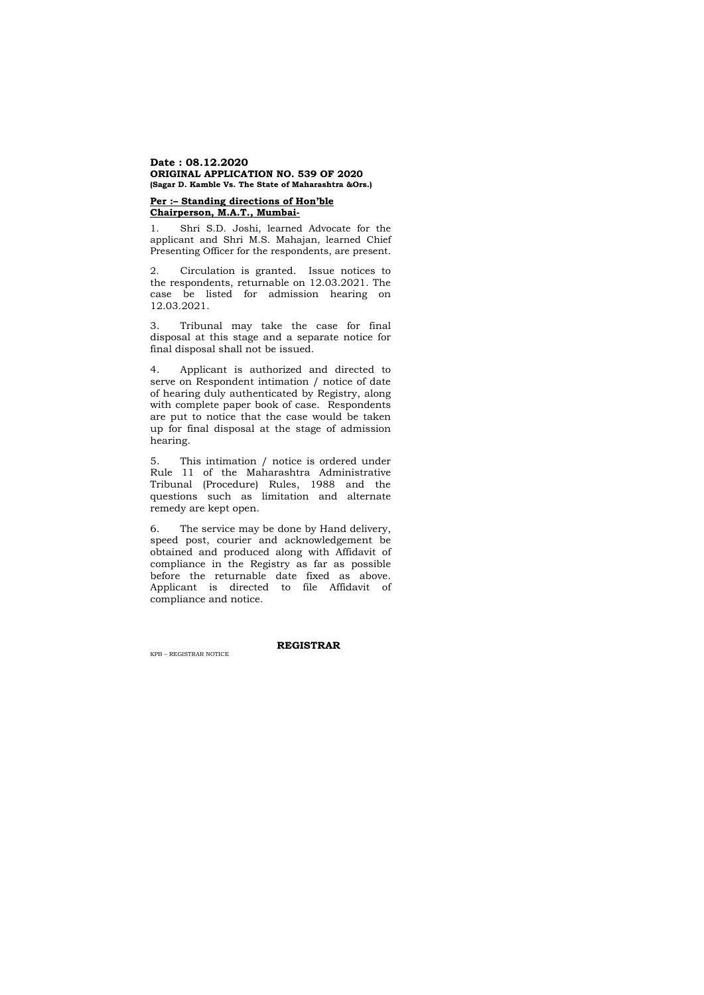#### **Date : 08.12.2020 ORIGINAL APPLICATION NO. 539 OF 2020 (Sagar D. Kamble Vs. The State of Maharashtra &Ors.)**

# **Per :– Standing directions of Hon'ble Chairperson, M.A.T., Mumbai-**

1. Shri S.D. Joshi, learned Advocate for the applicant and Shri M.S. Mahajan, learned Chief Presenting Officer for the respondents, are present.

2. Circulation is granted. Issue notices to the respondents, returnable on 12.03.2021. The case be listed for admission hearing on 12.03.2021.

3. Tribunal may take the case for final disposal at this stage and a separate notice for final disposal shall not be issued.

4. Applicant is authorized and directed to serve on Respondent intimation / notice of date of hearing duly authenticated by Registry, along with complete paper book of case. Respondents are put to notice that the case would be taken up for final disposal at the stage of admission hearing.

5. This intimation / notice is ordered under Rule 11 of the Maharashtra Administrative Tribunal (Procedure) Rules, 1988 and the questions such as limitation and alternate remedy are kept open.

6. The service may be done by Hand delivery, speed post, courier and acknowledgement be obtained and produced along with Affidavit of compliance in the Registry as far as possible before the returnable date fixed as above. Applicant is directed to file Affidavit of compliance and notice.

**REGISTRAR** 

KPB – REGISTRAR NOTICE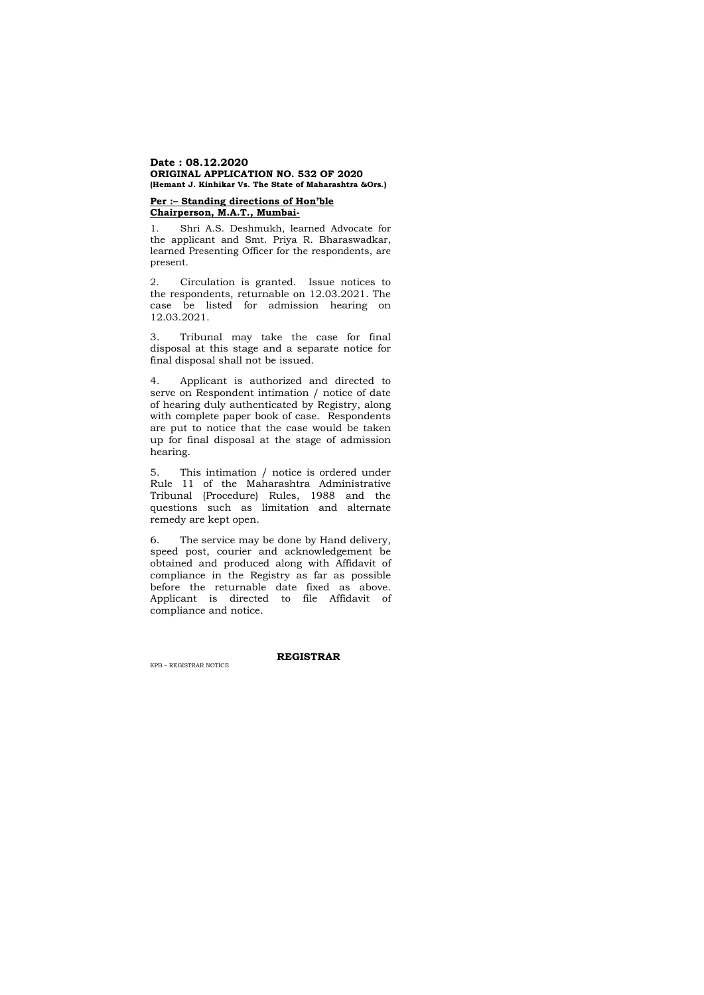#### **Date : 08.12.2020 ORIGINAL APPLICATION NO. 532 OF 2020 (Hemant J. Kinhikar Vs. The State of Maharashtra &Ors.)**

# **Per :– Standing directions of Hon'ble Chairperson, M.A.T., Mumbai-**

1. Shri A.S. Deshmukh, learned Advocate for the applicant and Smt. Priya R. Bharaswadkar, learned Presenting Officer for the respondents, are present.

2. Circulation is granted. Issue notices to the respondents, returnable on 12.03.2021. The case be listed for admission hearing on 12.03.2021.

3. Tribunal may take the case for final disposal at this stage and a separate notice for final disposal shall not be issued.

4. Applicant is authorized and directed to serve on Respondent intimation / notice of date of hearing duly authenticated by Registry, along with complete paper book of case. Respondents are put to notice that the case would be taken up for final disposal at the stage of admission hearing.

5. This intimation / notice is ordered under Rule 11 of the Maharashtra Administrative Tribunal (Procedure) Rules, 1988 and the questions such as limitation and alternate remedy are kept open.

6. The service may be done by Hand delivery, speed post, courier and acknowledgement be obtained and produced along with Affidavit of compliance in the Registry as far as possible before the returnable date fixed as above. Applicant is directed to file Affidavit of compliance and notice.

#### **REGISTRAR**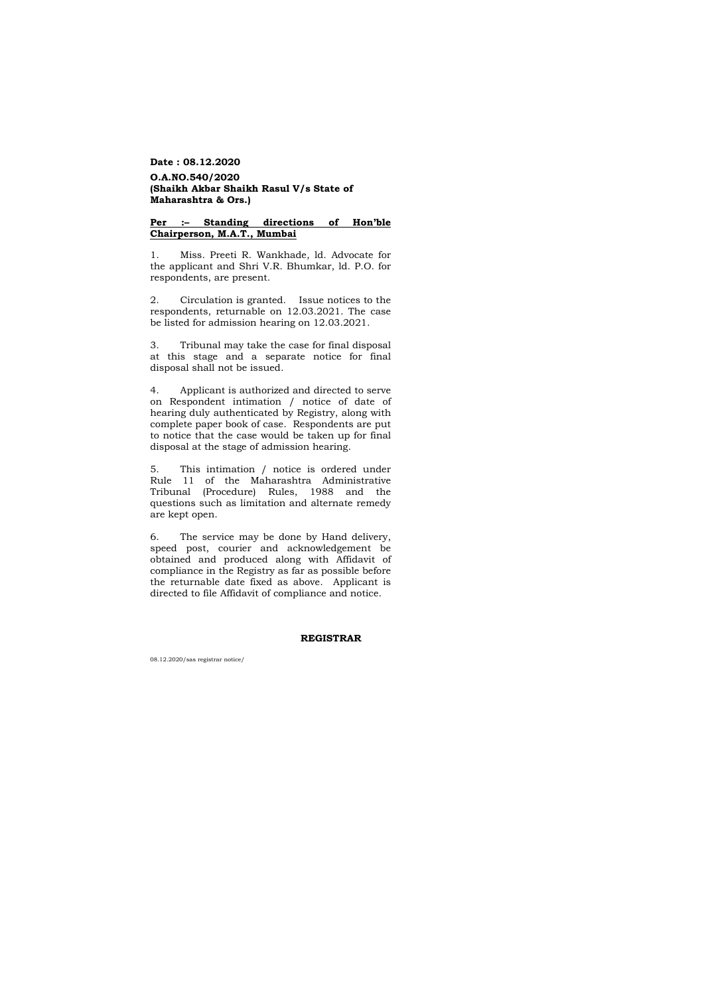**Date : 08.12.2020**

# **O.A.NO.540/2020 (Shaikh Akbar Shaikh Rasul V/s State of Maharashtra & Ors.)**

## **Per :– Standing directions of Hon'ble Chairperson, M.A.T., Mumbai**

1. Miss. Preeti R. Wankhade, ld. Advocate for the applicant and Shri V.R. Bhumkar, ld. P.O. for respondents, are present.

2. Circulation is granted. Issue notices to the respondents, returnable on 12.03.2021. The case be listed for admission hearing on 12.03.2021.

3. Tribunal may take the case for final disposal at this stage and a separate notice for final disposal shall not be issued.

4. Applicant is authorized and directed to serve on Respondent intimation / notice of date of hearing duly authenticated by Registry, along with complete paper book of case. Respondents are put to notice that the case would be taken up for final disposal at the stage of admission hearing.

5. This intimation / notice is ordered under Rule 11 of the Maharashtra Administrative Tribunal (Procedure) Rules, 1988 and the questions such as limitation and alternate remedy are kept open.

6. The service may be done by Hand delivery, speed post, courier and acknowledgement be obtained and produced along with Affidavit of compliance in the Registry as far as possible before the returnable date fixed as above. Applicant is directed to file Affidavit of compliance and notice.

#### **REGISTRAR**